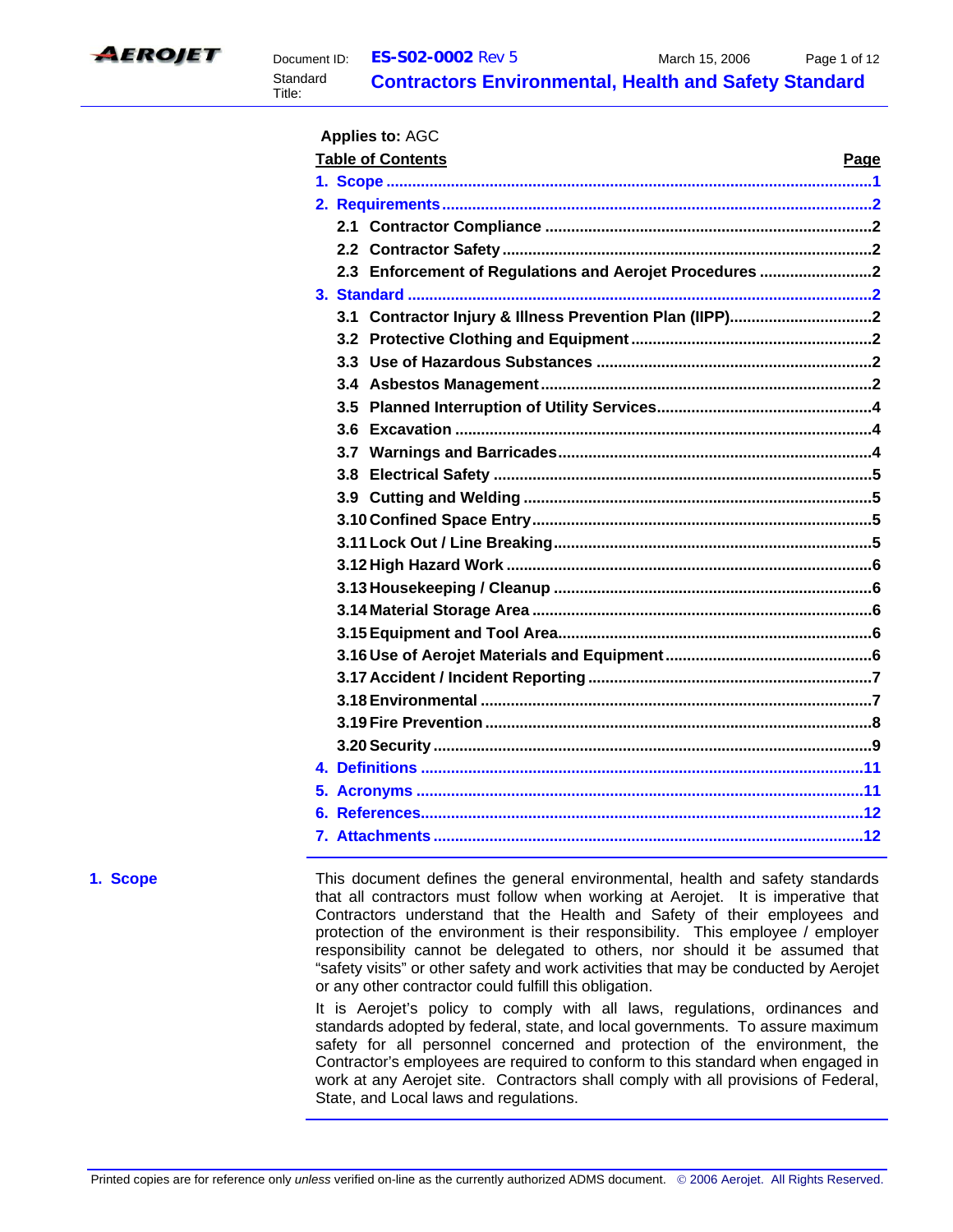

| Applies to: AGC                                         |      |
|---------------------------------------------------------|------|
| <b>Table of Contents</b>                                | Page |
|                                                         |      |
|                                                         |      |
|                                                         |      |
|                                                         |      |
| 2.3 Enforcement of Regulations and Aerojet Procedures 2 |      |
|                                                         |      |
|                                                         |      |
|                                                         |      |
|                                                         |      |
|                                                         |      |
|                                                         |      |
|                                                         |      |
|                                                         |      |
|                                                         |      |
|                                                         |      |
|                                                         |      |
|                                                         |      |
|                                                         |      |
|                                                         |      |
|                                                         |      |
|                                                         |      |
|                                                         |      |
|                                                         |      |
|                                                         |      |
|                                                         |      |
|                                                         |      |
| 4. Definitions ………………………………………………………………………………………11      |      |
|                                                         |      |
|                                                         |      |
|                                                         |      |
|                                                         |      |

**1. Scope** This document defines the general environmental, health and safety standards that all contractors must follow when working at Aerojet. It is imperative that Contractors understand that the Health and Safety of their employees and protection of the environment is their responsibility. This employee / employer responsibility cannot be delegated to others, nor should it be assumed that "safety visits" or other safety and work activities that may be conducted by Aerojet or any other contractor could fulfill this obligation.

> It is Aerojet's policy to comply with all laws, regulations, ordinances and standards adopted by federal, state, and local governments. To assure maximum safety for all personnel concerned and protection of the environment, the Contractor's employees are required to conform to this standard when engaged in work at any Aerojet site. Contractors shall comply with all provisions of Federal, State, and Local laws and regulations.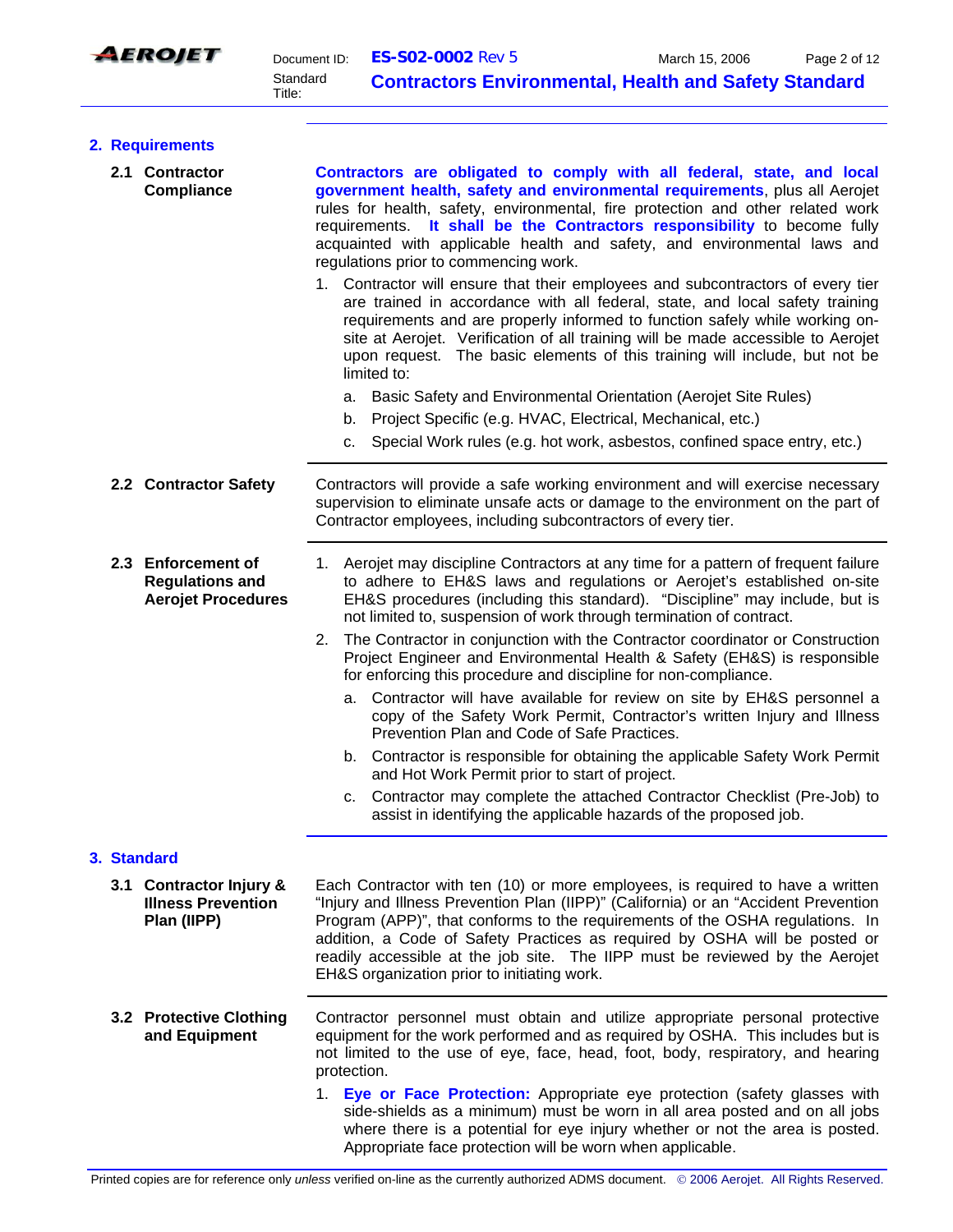

|                                     |  | 2. Requirements                                                           |                                                                                                                                                                                                                                                                                                                                                                                                                                                                                                                                                            |  |  |  |
|-------------------------------------|--|---------------------------------------------------------------------------|------------------------------------------------------------------------------------------------------------------------------------------------------------------------------------------------------------------------------------------------------------------------------------------------------------------------------------------------------------------------------------------------------------------------------------------------------------------------------------------------------------------------------------------------------------|--|--|--|
| 2.1 Contractor<br><b>Compliance</b> |  |                                                                           | Contractors are obligated to comply with all federal, state, and local<br>government health, safety and environmental requirements, plus all Aerojet<br>rules for health, safety, environmental, fire protection and other related work<br>requirements. It shall be the Contractors responsibility to become fully<br>acquainted with applicable health and safety, and environmental laws and<br>regulations prior to commencing work.                                                                                                                   |  |  |  |
|                                     |  |                                                                           | 1. Contractor will ensure that their employees and subcontractors of every tier<br>are trained in accordance with all federal, state, and local safety training<br>requirements and are properly informed to function safely while working on-<br>site at Aerojet. Verification of all training will be made accessible to Aerojet<br>upon request. The basic elements of this training will include, but not be<br>limited to:                                                                                                                            |  |  |  |
|                                     |  |                                                                           | Basic Safety and Environmental Orientation (Aerojet Site Rules)<br>а.                                                                                                                                                                                                                                                                                                                                                                                                                                                                                      |  |  |  |
|                                     |  |                                                                           | Project Specific (e.g. HVAC, Electrical, Mechanical, etc.)<br>b.<br>Special Work rules (e.g. hot work, asbestos, confined space entry, etc.)<br>с.                                                                                                                                                                                                                                                                                                                                                                                                         |  |  |  |
|                                     |  |                                                                           |                                                                                                                                                                                                                                                                                                                                                                                                                                                                                                                                                            |  |  |  |
|                                     |  | 2.2 Contractor Safety                                                     | Contractors will provide a safe working environment and will exercise necessary<br>supervision to eliminate unsafe acts or damage to the environment on the part of<br>Contractor employees, including subcontractors of every tier.                                                                                                                                                                                                                                                                                                                       |  |  |  |
|                                     |  | 2.3 Enforcement of<br><b>Regulations and</b><br><b>Aerojet Procedures</b> | 1. Aerojet may discipline Contractors at any time for a pattern of frequent failure<br>to adhere to EH&S laws and regulations or Aerojet's established on-site<br>EH&S procedures (including this standard). "Discipline" may include, but is<br>not limited to, suspension of work through termination of contract.<br>The Contractor in conjunction with the Contractor coordinator or Construction<br>2.<br>Project Engineer and Environmental Health & Safety (EH&S) is responsible<br>for enforcing this procedure and discipline for non-compliance. |  |  |  |
|                                     |  |                                                                           | a. Contractor will have available for review on site by EH&S personnel a<br>copy of the Safety Work Permit, Contractor's written Injury and Illness<br>Prevention Plan and Code of Safe Practices.                                                                                                                                                                                                                                                                                                                                                         |  |  |  |
|                                     |  |                                                                           | b. Contractor is responsible for obtaining the applicable Safety Work Permit<br>and Hot Work Permit prior to start of project.                                                                                                                                                                                                                                                                                                                                                                                                                             |  |  |  |
|                                     |  |                                                                           | Contractor may complete the attached Contractor Checklist (Pre-Job) to<br>c.<br>assist in identifying the applicable hazards of the proposed job.                                                                                                                                                                                                                                                                                                                                                                                                          |  |  |  |
|                                     |  | 3. Standard                                                               |                                                                                                                                                                                                                                                                                                                                                                                                                                                                                                                                                            |  |  |  |
|                                     |  | 3.1 Contractor Injury &<br><b>Illness Prevention</b><br>Plan (IIPP)       | Each Contractor with ten (10) or more employees, is required to have a written<br>"Injury and Illness Prevention Plan (IIPP)" (California) or an "Accident Prevention<br>Program (APP)", that conforms to the requirements of the OSHA regulations. In<br>addition, a Code of Safety Practices as required by OSHA will be posted or<br>readily accessible at the job site. The IIPP must be reviewed by the Aerojet<br>EH&S organization prior to initiating work.                                                                                        |  |  |  |
|                                     |  | 3.2 Protective Clothing<br>and Equipment                                  | Contractor personnel must obtain and utilize appropriate personal protective<br>equipment for the work performed and as required by OSHA. This includes but is<br>not limited to the use of eye, face, head, foot, body, respiratory, and hearing<br>protection.                                                                                                                                                                                                                                                                                           |  |  |  |
|                                     |  |                                                                           | Eye or Face Protection: Appropriate eye protection (safety glasses with<br>1.<br>side-shields as a minimum) must be worn in all area posted and on all jobs<br>where there is a potential for eye injury whether or not the area is posted.<br>Appropriate face protection will be worn when applicable.                                                                                                                                                                                                                                                   |  |  |  |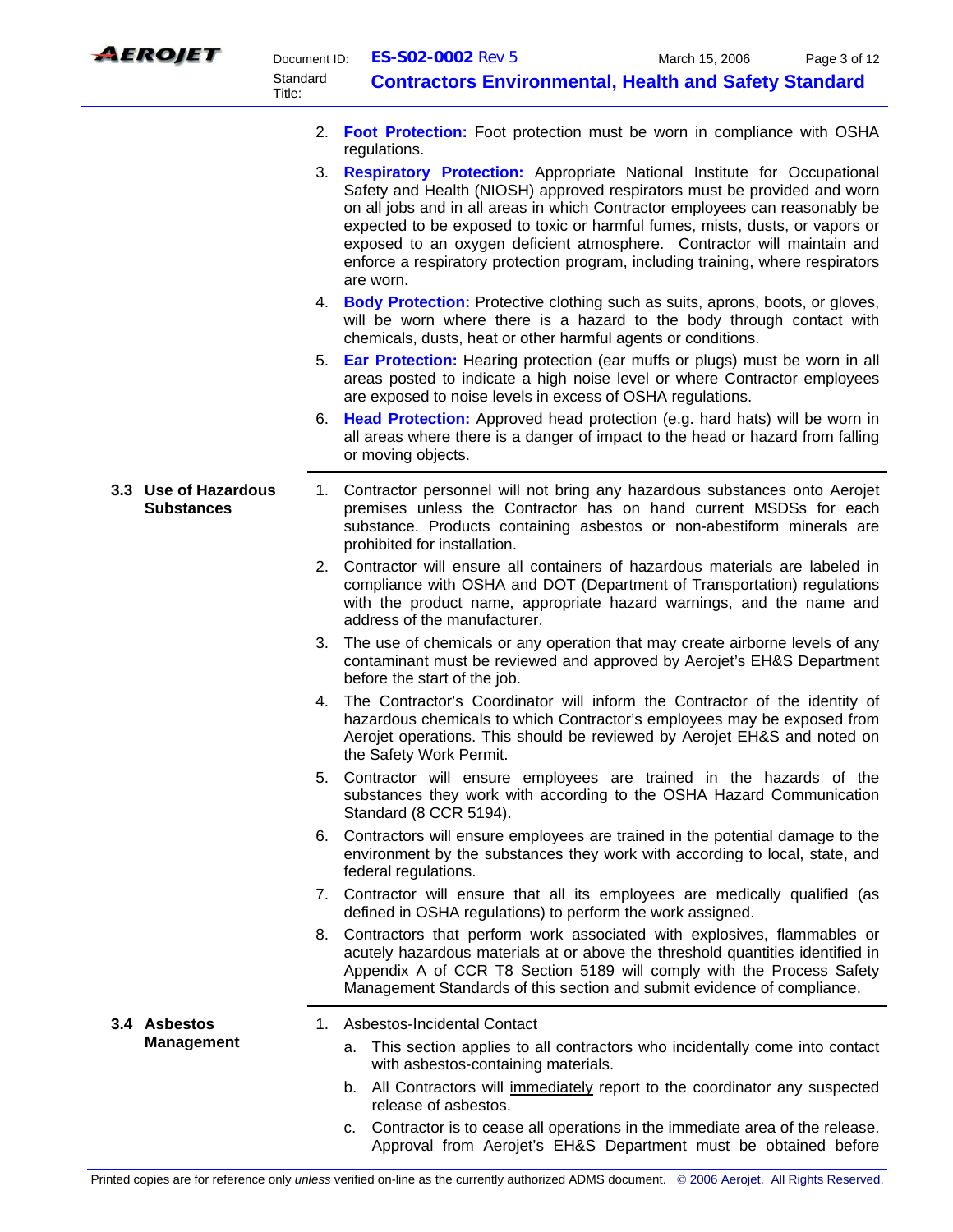

- 2. **Foot Protection:** Foot protection must be worn in compliance with OSHA regulations.
- 3. **Respiratory Protection:** Appropriate National Institute for Occupational Safety and Health (NIOSH) approved respirators must be provided and worn on all jobs and in all areas in which Contractor employees can reasonably be expected to be exposed to toxic or harmful fumes, mists, dusts, or vapors or exposed to an oxygen deficient atmosphere. Contractor will maintain and enforce a respiratory protection program, including training, where respirators are worn.
- 4. **Body Protection:** Protective clothing such as suits, aprons, boots, or gloves, will be worn where there is a hazard to the body through contact with chemicals, dusts, heat or other harmful agents or conditions.
- 5. **Ear Protection:** Hearing protection (ear muffs or plugs) must be worn in all areas posted to indicate a high noise level or where Contractor employees are exposed to noise levels in excess of OSHA regulations.
- 6. **Head Protection:** Approved head protection (e.g. hard hats) will be worn in all areas where there is a danger of impact to the head or hazard from falling or moving objects.
- **3.3 Use of Hazardous Substances**  1. Contractor personnel will not bring any hazardous substances onto Aerojet premises unless the Contractor has on hand current MSDSs for each substance. Products containing asbestos or non-abestiform minerals are prohibited for installation.
	- 2. Contractor will ensure all containers of hazardous materials are labeled in compliance with OSHA and DOT (Department of Transportation) regulations with the product name, appropriate hazard warnings, and the name and address of the manufacturer.
	- 3. The use of chemicals or any operation that may create airborne levels of any contaminant must be reviewed and approved by Aerojet's EH&S Department before the start of the job.
	- 4. The Contractor's Coordinator will inform the Contractor of the identity of hazardous chemicals to which Contractor's employees may be exposed from Aerojet operations. This should be reviewed by Aerojet EH&S and noted on the Safety Work Permit.
	- 5. Contractor will ensure employees are trained in the hazards of the substances they work with according to the OSHA Hazard Communication Standard (8 CCR 5194).
	- 6. Contractors will ensure employees are trained in the potential damage to the environment by the substances they work with according to local, state, and federal regulations.
	- 7. Contractor will ensure that all its employees are medically qualified (as defined in OSHA regulations) to perform the work assigned.
	- 8. Contractors that perform work associated with explosives, flammables or acutely hazardous materials at or above the threshold quantities identified in Appendix A of CCR T8 Section 5189 will comply with the Process Safety Management Standards of this section and submit evidence of compliance.

**3.4 Asbestos Management** 

- 1. Asbestos-Incidental Contact
	- a. This section applies to all contractors who incidentally come into contact with asbestos-containing materials.
	- b. All Contractors will immediately report to the coordinator any suspected release of asbestos.
	- c. Contractor is to cease all operations in the immediate area of the release. Approval from Aerojet's EH&S Department must be obtained before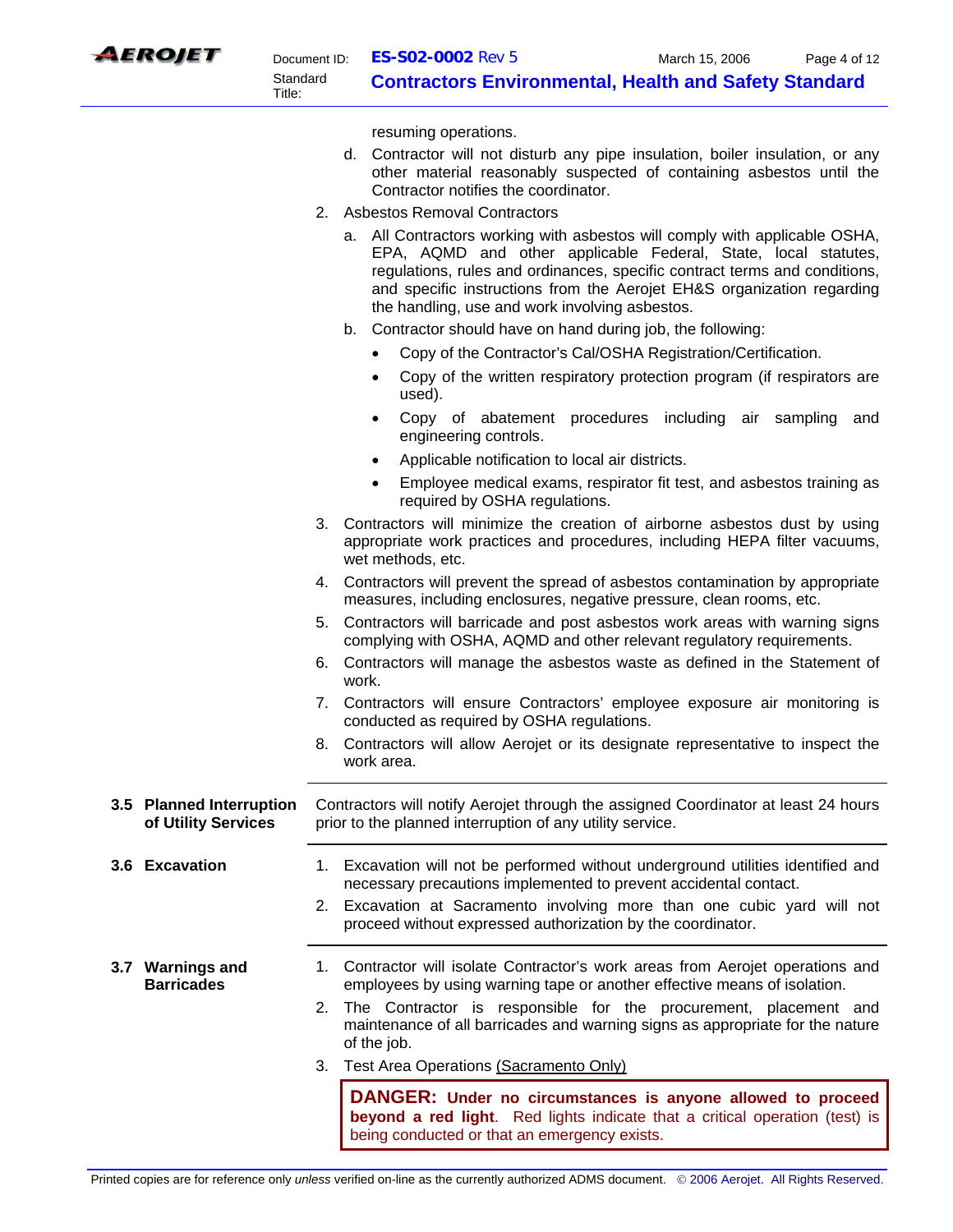

resuming operations.

- d. Contractor will not disturb any pipe insulation, boiler insulation, or any other material reasonably suspected of containing asbestos until the Contractor notifies the coordinator.
- 2. Asbestos Removal Contractors
	- a. All Contractors working with asbestos will comply with applicable OSHA, EPA, AQMD and other applicable Federal, State, local statutes, regulations, rules and ordinances, specific contract terms and conditions, and specific instructions from the Aerojet EH&S organization regarding the handling, use and work involving asbestos.
	- b. Contractor should have on hand during job, the following:
		- Copy of the Contractor's Cal/OSHA Registration/Certification.
		- Copy of the written respiratory protection program (if respirators are used).
		- Copy of abatement procedures including air sampling and engineering controls.
		- Applicable notification to local air districts.
		- Employee medical exams, respirator fit test, and asbestos training as required by OSHA regulations.
- 3. Contractors will minimize the creation of airborne asbestos dust by using appropriate work practices and procedures, including HEPA filter vacuums, wet methods, etc.
- 4. Contractors will prevent the spread of asbestos contamination by appropriate measures, including enclosures, negative pressure, clean rooms, etc.
- 5. Contractors will barricade and post asbestos work areas with warning signs complying with OSHA, AQMD and other relevant regulatory requirements.
- 6. Contractors will manage the asbestos waste as defined in the Statement of work.
- 7. Contractors will ensure Contractors' employee exposure air monitoring is conducted as required by OSHA regulations.
- 8. Contractors will allow Aerojet or its designate representative to inspect the work area.

## **3.5 Planned Interruption of Utility Services**  Contractors will notify Aerojet through the assigned Coordinator at least 24 hours prior to the planned interruption of any utility service.

- **3.6 Excavation** 1. Excavation will not be performed without underground utilities identified and necessary precautions implemented to prevent accidental contact.
	- 2. Excavation at Sacramento involving more than one cubic yard will not proceed without expressed authorization by the coordinator.
- **3.7 Warnings and Barricades**  1. Contractor will isolate Contractor's work areas from Aerojet operations and employees by using warning tape or another effective means of isolation.
	- 2. The Contractor is responsible for the procurement, placement and maintenance of all barricades and warning signs as appropriate for the nature of the job.
	- 3. Test Area Operations (Sacramento Only)

**DANGER: Under no circumstances is anyone allowed to proceed beyond a red light**. Red lights indicate that a critical operation (test) is being conducted or that an emergency exists.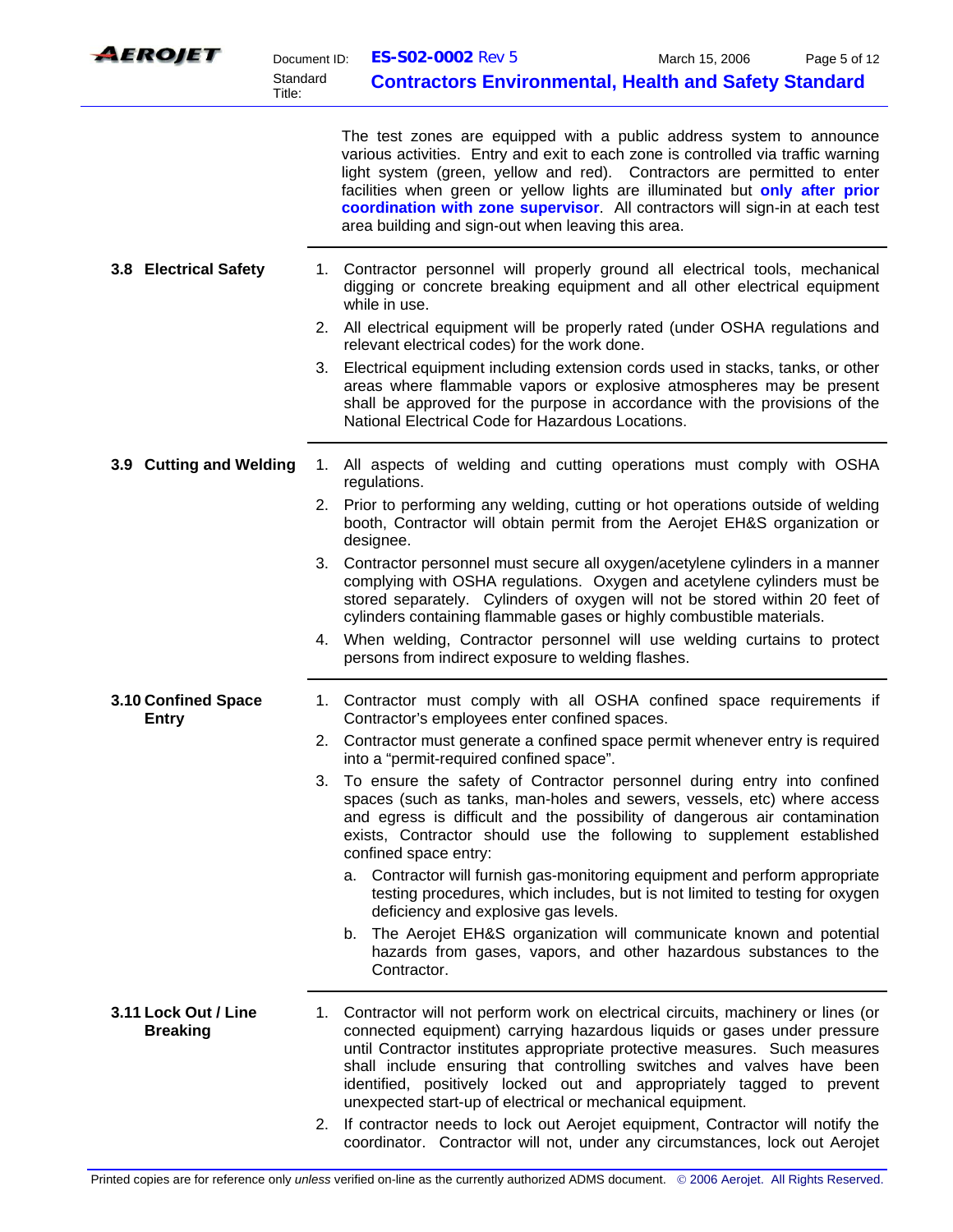| <b>AEROJET</b><br>Document ID:<br>Standard<br>Title: |    | ES-S02-0002 Rev 5<br><b>Contractors Environmental, Health and Safety Standard</b>                                                                                                                                                                                                                                                                                                                                                                           | March 15, 2006 | Page 5 of 12 |
|------------------------------------------------------|----|-------------------------------------------------------------------------------------------------------------------------------------------------------------------------------------------------------------------------------------------------------------------------------------------------------------------------------------------------------------------------------------------------------------------------------------------------------------|----------------|--------------|
|                                                      |    | The test zones are equipped with a public address system to announce<br>various activities. Entry and exit to each zone is controlled via traffic warning<br>light system (green, yellow and red). Contractors are permitted to enter<br>facilities when green or yellow lights are illuminated but only after prior<br>coordination with zone supervisor. All contractors will sign-in at each test<br>area building and sign-out when leaving this area.  |                |              |
| 3.8 Electrical Safety                                |    | 1. Contractor personnel will properly ground all electrical tools, mechanical<br>digging or concrete breaking equipment and all other electrical equipment<br>while in use.                                                                                                                                                                                                                                                                                 |                |              |
|                                                      |    | 2. All electrical equipment will be properly rated (under OSHA regulations and<br>relevant electrical codes) for the work done.                                                                                                                                                                                                                                                                                                                             |                |              |
|                                                      | 3. | Electrical equipment including extension cords used in stacks, tanks, or other<br>areas where flammable vapors or explosive atmospheres may be present<br>shall be approved for the purpose in accordance with the provisions of the<br>National Electrical Code for Hazardous Locations.                                                                                                                                                                   |                |              |
| 3.9 Cutting and Welding                              | 1. | All aspects of welding and cutting operations must comply with OSHA<br>regulations.                                                                                                                                                                                                                                                                                                                                                                         |                |              |
|                                                      | 2. | Prior to performing any welding, cutting or hot operations outside of welding<br>booth, Contractor will obtain permit from the Aerojet EH&S organization or<br>designee.                                                                                                                                                                                                                                                                                    |                |              |
|                                                      |    | 3. Contractor personnel must secure all oxygen/acetylene cylinders in a manner<br>complying with OSHA regulations. Oxygen and acetylene cylinders must be<br>stored separately. Cylinders of oxygen will not be stored within 20 feet of<br>cylinders containing flammable gases or highly combustible materials.                                                                                                                                           |                |              |
|                                                      |    | 4. When welding, Contractor personnel will use welding curtains to protect<br>persons from indirect exposure to welding flashes.                                                                                                                                                                                                                                                                                                                            |                |              |
| 3.10 Confined Space<br><b>Entry</b>                  |    | 1. Contractor must comply with all OSHA confined space requirements if<br>Contractor's employees enter confined spaces.                                                                                                                                                                                                                                                                                                                                     |                |              |
|                                                      |    | 2. Contractor must generate a confined space permit whenever entry is required<br>into a "permit-required confined space".                                                                                                                                                                                                                                                                                                                                  |                |              |
|                                                      |    | 3. To ensure the safety of Contractor personnel during entry into confined<br>spaces (such as tanks, man-holes and sewers, vessels, etc) where access<br>and egress is difficult and the possibility of dangerous air contamination<br>exists, Contractor should use the following to supplement established<br>confined space entry:                                                                                                                       |                |              |
|                                                      |    | a. Contractor will furnish gas-monitoring equipment and perform appropriate<br>testing procedures, which includes, but is not limited to testing for oxygen<br>deficiency and explosive gas levels.                                                                                                                                                                                                                                                         |                |              |
|                                                      |    | The Aerojet EH&S organization will communicate known and potential<br>b.<br>hazards from gases, vapors, and other hazardous substances to the<br>Contractor.                                                                                                                                                                                                                                                                                                |                |              |
| 3.11 Lock Out / Line<br><b>Breaking</b>              |    | 1. Contractor will not perform work on electrical circuits, machinery or lines (or<br>connected equipment) carrying hazardous liquids or gases under pressure<br>until Contractor institutes appropriate protective measures. Such measures<br>shall include ensuring that controlling switches and valves have been<br>identified, positively locked out and appropriately tagged to prevent<br>unexpected start-up of electrical or mechanical equipment. |                |              |
|                                                      |    | 2. If contractor needs to lock out Aerojet equipment, Contractor will notify the<br>coordinator. Contractor will not, under any circumstances, lock out Aerojet                                                                                                                                                                                                                                                                                             |                |              |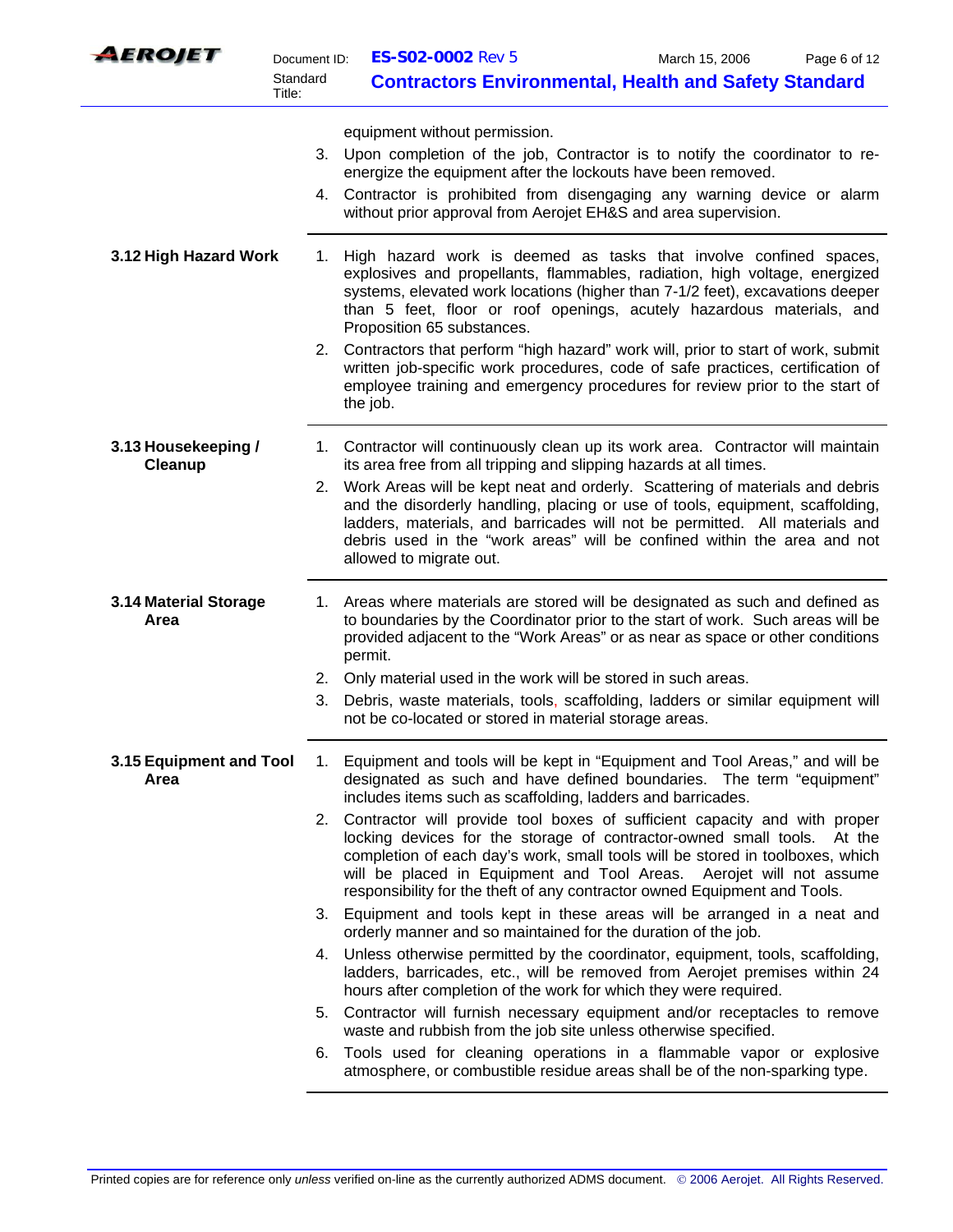| <b>AEROJET</b>                  | Document ID:       | <b>ES-S02-0002 Rev 5</b>                                                                                                                                                                                                                                                                                                                                                                  | March 15, 2006 | Page 6 of 12 |  |
|---------------------------------|--------------------|-------------------------------------------------------------------------------------------------------------------------------------------------------------------------------------------------------------------------------------------------------------------------------------------------------------------------------------------------------------------------------------------|----------------|--------------|--|
|                                 | Standard<br>Title: | <b>Contractors Environmental, Health and Safety Standard</b>                                                                                                                                                                                                                                                                                                                              |                |              |  |
|                                 |                    | equipment without permission.                                                                                                                                                                                                                                                                                                                                                             |                |              |  |
|                                 |                    | 3. Upon completion of the job, Contractor is to notify the coordinator to re-<br>energize the equipment after the lockouts have been removed.                                                                                                                                                                                                                                             |                |              |  |
|                                 |                    | 4. Contractor is prohibited from disengaging any warning device or alarm<br>without prior approval from Aerojet EH&S and area supervision.                                                                                                                                                                                                                                                |                |              |  |
| 3.12 High Hazard Work           |                    | High hazard work is deemed as tasks that involve confined spaces,<br>explosives and propellants, flammables, radiation, high voltage, energized<br>systems, elevated work locations (higher than 7-1/2 feet), excavations deeper<br>than 5 feet, floor or roof openings, acutely hazardous materials, and<br>Proposition 65 substances.                                                   |                |              |  |
|                                 |                    | 2. Contractors that perform "high hazard" work will, prior to start of work, submit<br>written job-specific work procedures, code of safe practices, certification of<br>employee training and emergency procedures for review prior to the start of<br>the job.                                                                                                                          |                |              |  |
| 3.13 Housekeeping /<br>Cleanup  |                    | 1. Contractor will continuously clean up its work area. Contractor will maintain<br>its area free from all tripping and slipping hazards at all times.                                                                                                                                                                                                                                    |                |              |  |
|                                 | 2.                 | Work Areas will be kept neat and orderly. Scattering of materials and debris<br>and the disorderly handling, placing or use of tools, equipment, scaffolding,<br>ladders, materials, and barricades will not be permitted. All materials and<br>debris used in the "work areas" will be confined within the area and not<br>allowed to migrate out.                                       |                |              |  |
| 3.14 Material Storage<br>Area   |                    | 1. Areas where materials are stored will be designated as such and defined as<br>to boundaries by the Coordinator prior to the start of work. Such areas will be<br>provided adjacent to the "Work Areas" or as near as space or other conditions<br>permit.                                                                                                                              |                |              |  |
|                                 |                    | 2. Only material used in the work will be stored in such areas.                                                                                                                                                                                                                                                                                                                           |                |              |  |
|                                 | 3.                 | Debris, waste materials, tools, scaffolding, ladders or similar equipment will<br>not be co-located or stored in material storage areas.                                                                                                                                                                                                                                                  |                |              |  |
| 3.15 Equipment and Tool<br>Area | 1.                 | Equipment and tools will be kept in "Equipment and Tool Areas," and will be<br>designated as such and have defined boundaries. The term "equipment"<br>includes items such as scaffolding, ladders and barricades.                                                                                                                                                                        |                |              |  |
|                                 | 2.                 | Contractor will provide tool boxes of sufficient capacity and with proper<br>locking devices for the storage of contractor-owned small tools. At the<br>completion of each day's work, small tools will be stored in toolboxes, which<br>will be placed in Equipment and Tool Areas. Aerojet will not assume<br>responsibility for the theft of any contractor owned Equipment and Tools. |                |              |  |
|                                 |                    | 3. Equipment and tools kept in these areas will be arranged in a neat and<br>orderly manner and so maintained for the duration of the job.                                                                                                                                                                                                                                                |                |              |  |
|                                 |                    | 4. Unless otherwise permitted by the coordinator, equipment, tools, scaffolding,<br>ladders, barricades, etc., will be removed from Aerojet premises within 24<br>hours after completion of the work for which they were required.                                                                                                                                                        |                |              |  |
|                                 | 5.                 | Contractor will furnish necessary equipment and/or receptacles to remove<br>waste and rubbish from the job site unless otherwise specified.                                                                                                                                                                                                                                               |                |              |  |
|                                 | 6.                 | Tools used for cleaning operations in a flammable vapor or explosive<br>atmosphere, or combustible residue areas shall be of the non-sparking type.                                                                                                                                                                                                                                       |                |              |  |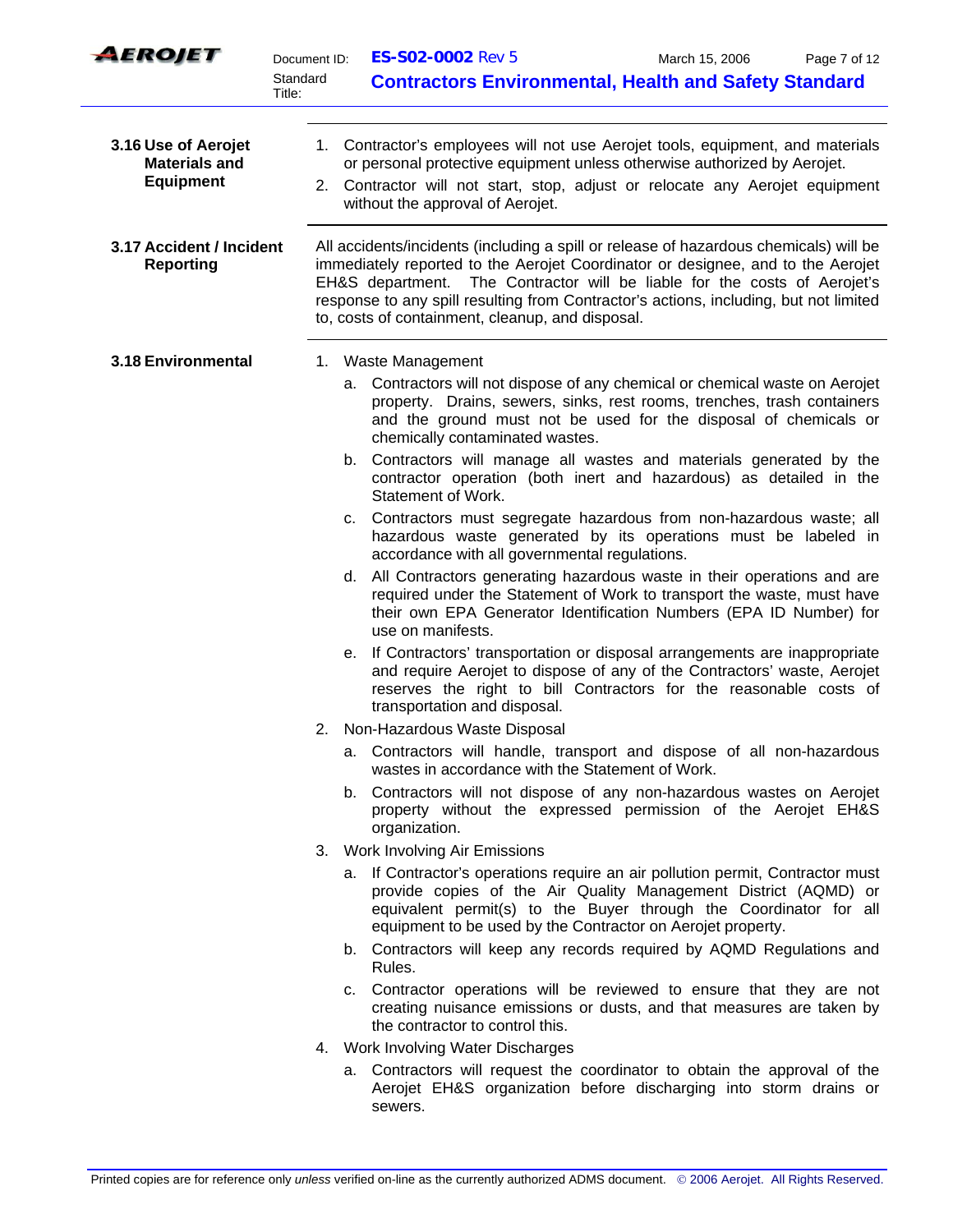| AEROJET                                                         | Document ID:<br>Standard<br>Title: | ES-S02-0002 Rev 5<br>March 15, 2006<br>Page 7 of 12<br><b>Contractors Environmental, Health and Safety Standard</b>                                                                                                                                                                                                                                                                                |
|-----------------------------------------------------------------|------------------------------------|----------------------------------------------------------------------------------------------------------------------------------------------------------------------------------------------------------------------------------------------------------------------------------------------------------------------------------------------------------------------------------------------------|
|                                                                 |                                    |                                                                                                                                                                                                                                                                                                                                                                                                    |
| 3.16 Use of Aerojet<br><b>Materials and</b><br><b>Equipment</b> | 2.                                 | 1. Contractor's employees will not use Aerojet tools, equipment, and materials<br>or personal protective equipment unless otherwise authorized by Aerojet.<br>Contractor will not start, stop, adjust or relocate any Aerojet equipment<br>without the approval of Aerojet.                                                                                                                        |
| 3.17 Accident / Incident<br><b>Reporting</b>                    |                                    | All accidents/incidents (including a spill or release of hazardous chemicals) will be<br>immediately reported to the Aerojet Coordinator or designee, and to the Aerojet<br>EH&S department. The Contractor will be liable for the costs of Aerojet's<br>response to any spill resulting from Contractor's actions, including, but not limited<br>to, costs of containment, cleanup, and disposal. |
| 3.18 Environmental                                              |                                    | 1. Waste Management                                                                                                                                                                                                                                                                                                                                                                                |
|                                                                 |                                    | a. Contractors will not dispose of any chemical or chemical waste on Aerojet<br>property. Drains, sewers, sinks, rest rooms, trenches, trash containers<br>and the ground must not be used for the disposal of chemicals or<br>chemically contaminated wastes.                                                                                                                                     |
|                                                                 |                                    | b. Contractors will manage all wastes and materials generated by the<br>contractor operation (both inert and hazardous) as detailed in the<br>Statement of Work.                                                                                                                                                                                                                                   |
|                                                                 | C.                                 | Contractors must segregate hazardous from non-hazardous waste; all<br>hazardous waste generated by its operations must be labeled in<br>accordance with all governmental regulations.                                                                                                                                                                                                              |
|                                                                 | d.                                 | All Contractors generating hazardous waste in their operations and are<br>required under the Statement of Work to transport the waste, must have<br>their own EPA Generator Identification Numbers (EPA ID Number) for<br>use on manifests.                                                                                                                                                        |
|                                                                 | е.                                 | If Contractors' transportation or disposal arrangements are inappropriate<br>and require Aerojet to dispose of any of the Contractors' waste, Aerojet<br>reserves the right to bill Contractors for the reasonable costs of<br>transportation and disposal.                                                                                                                                        |
|                                                                 |                                    | 2. Non-Hazardous Waste Disposal                                                                                                                                                                                                                                                                                                                                                                    |
|                                                                 |                                    | a. Contractors will handle, transport and dispose of all non-hazardous<br>wastes in accordance with the Statement of Work.                                                                                                                                                                                                                                                                         |
|                                                                 | b.                                 | Contractors will not dispose of any non-hazardous wastes on Aerojet<br>property without the expressed permission of the Aerojet EH&S<br>organization.                                                                                                                                                                                                                                              |
|                                                                 |                                    | 3. Work Involving Air Emissions                                                                                                                                                                                                                                                                                                                                                                    |
|                                                                 |                                    | a. If Contractor's operations require an air pollution permit, Contractor must<br>provide copies of the Air Quality Management District (AQMD) or<br>equivalent permit(s) to the Buyer through the Coordinator for all<br>equipment to be used by the Contractor on Aerojet property.                                                                                                              |
|                                                                 |                                    | b. Contractors will keep any records required by AQMD Regulations and<br>Rules.                                                                                                                                                                                                                                                                                                                    |
|                                                                 |                                    | c. Contractor operations will be reviewed to ensure that they are not<br>creating nuisance emissions or dusts, and that measures are taken by<br>the contractor to control this.                                                                                                                                                                                                                   |
|                                                                 |                                    | 4. Work Involving Water Discharges                                                                                                                                                                                                                                                                                                                                                                 |
|                                                                 |                                    | a. Contractors will request the coordinator to obtain the approval of the<br>Aerojet EH&S organization before discharging into storm drains or<br>sewers.                                                                                                                                                                                                                                          |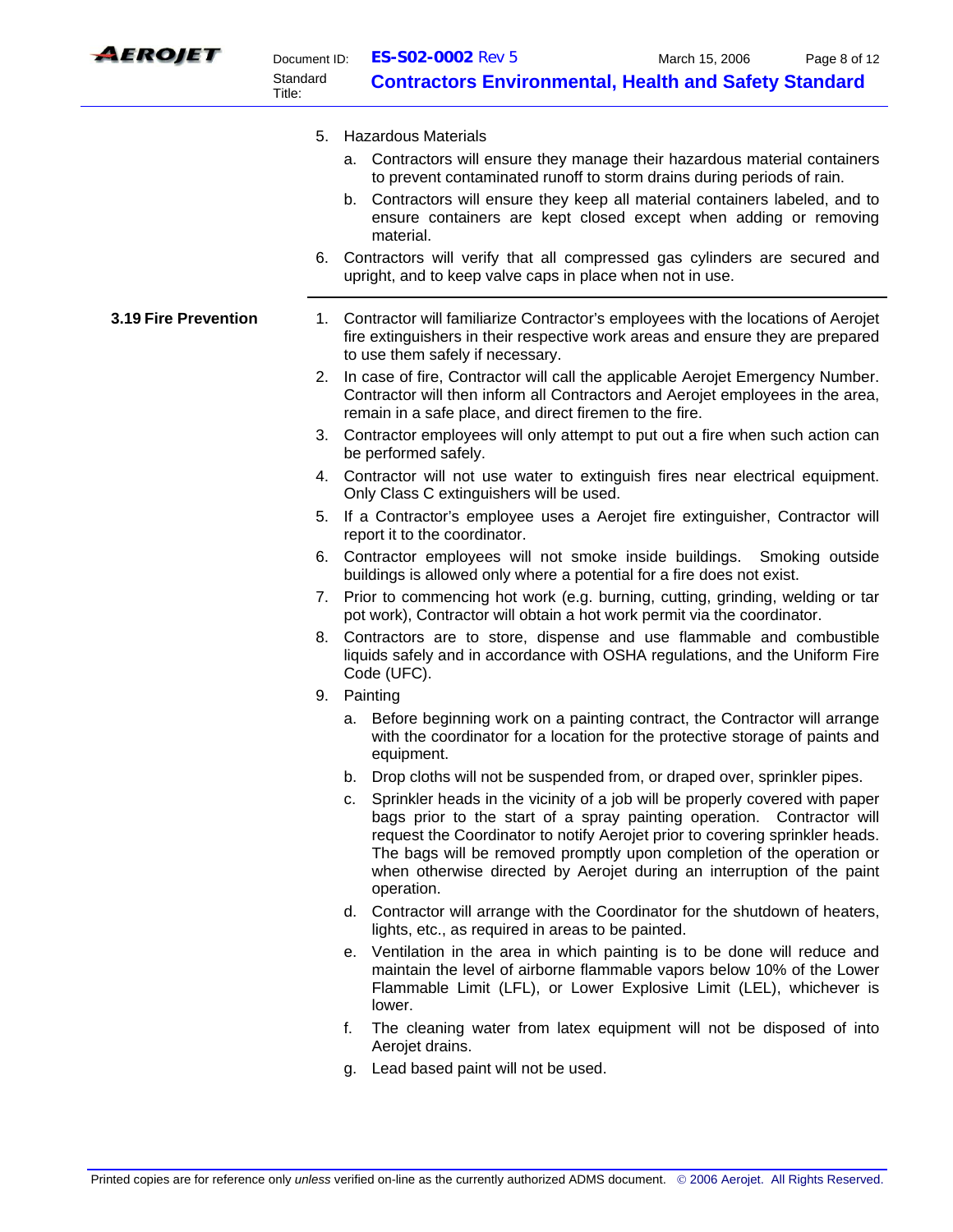

|                      | 5. | Hazardous Materials<br>a. Contractors will ensure they manage their hazardous material containers<br>to prevent contaminated runoff to storm drains during periods of rain.<br>b. Contractors will ensure they keep all material containers labeled, and to<br>ensure containers are kept closed except when adding or removing<br>material.<br>6. Contractors will verify that all compressed gas cylinders are secured and<br>upright, and to keep valve caps in place when not in use. |
|----------------------|----|-------------------------------------------------------------------------------------------------------------------------------------------------------------------------------------------------------------------------------------------------------------------------------------------------------------------------------------------------------------------------------------------------------------------------------------------------------------------------------------------|
| 3.19 Fire Prevention |    | 1. Contractor will familiarize Contractor's employees with the locations of Aerojet<br>fire extinguishers in their respective work areas and ensure they are prepared<br>to use them safely if necessary.                                                                                                                                                                                                                                                                                 |
|                      | 2. | In case of fire, Contractor will call the applicable Aerojet Emergency Number.<br>Contractor will then inform all Contractors and Aerojet employees in the area,<br>remain in a safe place, and direct firemen to the fire.                                                                                                                                                                                                                                                               |
|                      |    | 3. Contractor employees will only attempt to put out a fire when such action can<br>be performed safely.                                                                                                                                                                                                                                                                                                                                                                                  |
|                      |    | 4. Contractor will not use water to extinguish fires near electrical equipment.<br>Only Class C extinguishers will be used.                                                                                                                                                                                                                                                                                                                                                               |
|                      | 5. | If a Contractor's employee uses a Aerojet fire extinguisher, Contractor will<br>report it to the coordinator.                                                                                                                                                                                                                                                                                                                                                                             |
|                      | 6. | Contractor employees will not smoke inside buildings. Smoking outside<br>buildings is allowed only where a potential for a fire does not exist.                                                                                                                                                                                                                                                                                                                                           |
|                      |    | 7. Prior to commencing hot work (e.g. burning, cutting, grinding, welding or tar<br>pot work), Contractor will obtain a hot work permit via the coordinator.                                                                                                                                                                                                                                                                                                                              |
|                      |    | 8. Contractors are to store, dispense and use flammable and combustible<br>liquids safely and in accordance with OSHA regulations, and the Uniform Fire<br>Code (UFC).                                                                                                                                                                                                                                                                                                                    |
|                      |    | 9. Painting                                                                                                                                                                                                                                                                                                                                                                                                                                                                               |
|                      |    | a. Before beginning work on a painting contract, the Contractor will arrange<br>with the coordinator for a location for the protective storage of paints and<br>equipment.                                                                                                                                                                                                                                                                                                                |
|                      |    | b. Drop cloths will not be suspended from, or draped over, sprinkler pipes.                                                                                                                                                                                                                                                                                                                                                                                                               |
|                      |    | c. Sprinkler heads in the vicinity of a job will be properly covered with paper<br>bags prior to the start of a spray painting operation. Contractor will<br>request the Coordinator to notify Aerojet prior to covering sprinkler heads.<br>The bags will be removed promptly upon completion of the operation or<br>when otherwise directed by Aerojet during an interruption of the paint<br>operation.                                                                                |
|                      |    | d. Contractor will arrange with the Coordinator for the shutdown of heaters,<br>lights, etc., as required in areas to be painted.                                                                                                                                                                                                                                                                                                                                                         |
|                      |    | e. Ventilation in the area in which painting is to be done will reduce and<br>maintain the level of airborne flammable vapors below 10% of the Lower<br>Flammable Limit (LFL), or Lower Explosive Limit (LEL), whichever is<br>lower.                                                                                                                                                                                                                                                     |
|                      |    | The cleaning water from latex equipment will not be disposed of into<br>f.<br>Aerojet drains.                                                                                                                                                                                                                                                                                                                                                                                             |

g. Lead based paint will not be used.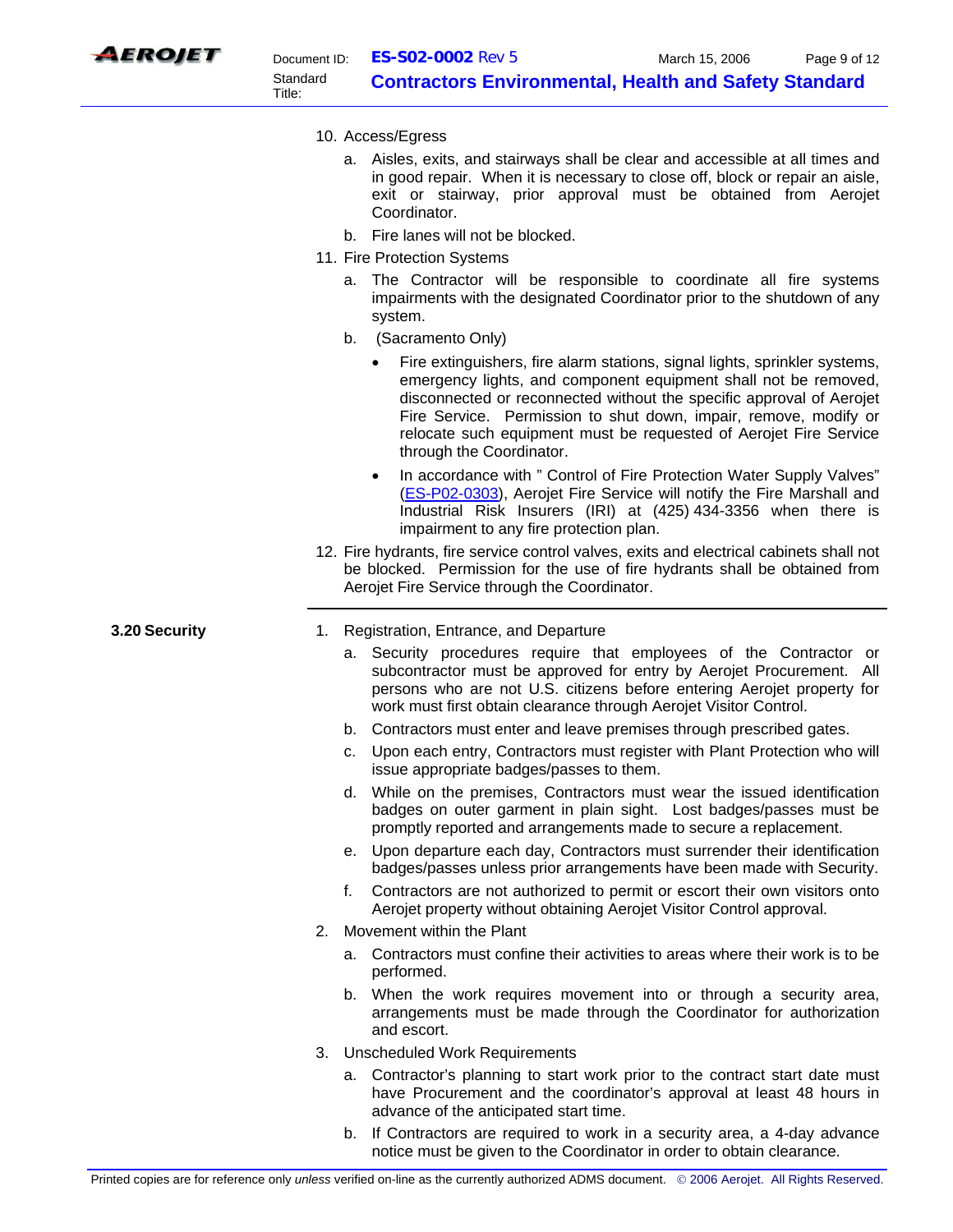

- 10. Access/Egress
	- a. Aisles, exits, and stairways shall be clear and accessible at all times and in good repair. When it is necessary to close off, block or repair an aisle, exit or stairway, prior approval must be obtained from Aerojet Coordinator.
	- b. Fire lanes will not be blocked.
- 11. Fire Protection Systems
	- a. The Contractor will be responsible to coordinate all fire systems impairments with the designated Coordinator prior to the shutdown of any system.
	- b. (Sacramento Only)
		- Fire extinguishers, fire alarm stations, signal lights, sprinkler systems, emergency lights, and component equipment shall not be removed, disconnected or reconnected without the specific approval of Aerojet Fire Service. Permission to shut down, impair, remove, modify or relocate such equipment must be requested of Aerojet Fire Service through the Coordinator.
		- In accordance with " Control of Fire Protection Water Supply Valves" (ES-P02-0303), Aerojet Fire Service will notify the Fire Marshall and Industrial Risk Insurers (IRI) at (425) 434-3356 when there is impairment to any fire protection plan.
- 12. Fire hydrants, fire service control valves, exits and electrical cabinets shall not be blocked. Permission for the use of fire hydrants shall be obtained from Aerojet Fire Service through the Coordinator.

- **3.20 Security** 1. Registration, Entrance, and Departure
	- a. Security procedures require that employees of the Contractor or subcontractor must be approved for entry by Aerojet Procurement. All persons who are not U.S. citizens before entering Aerojet property for work must first obtain clearance through Aerojet Visitor Control.
	- b. Contractors must enter and leave premises through prescribed gates.
	- c. Upon each entry, Contractors must register with Plant Protection who will issue appropriate badges/passes to them.
	- d. While on the premises, Contractors must wear the issued identification badges on outer garment in plain sight. Lost badges/passes must be promptly reported and arrangements made to secure a replacement.
	- e. Upon departure each day, Contractors must surrender their identification badges/passes unless prior arrangements have been made with Security.
	- f. Contractors are not authorized to permit or escort their own visitors onto Aerojet property without obtaining Aerojet Visitor Control approval.
	- 2. Movement within the Plant
		- a. Contractors must confine their activities to areas where their work is to be performed.
		- b. When the work requires movement into or through a security area, arrangements must be made through the Coordinator for authorization and escort.
	- 3. Unscheduled Work Requirements
		- a. Contractor's planning to start work prior to the contract start date must have Procurement and the coordinator's approval at least 48 hours in advance of the anticipated start time.
		- b. If Contractors are required to work in a security area, a 4-day advance notice must be given to the Coordinator in order to obtain clearance.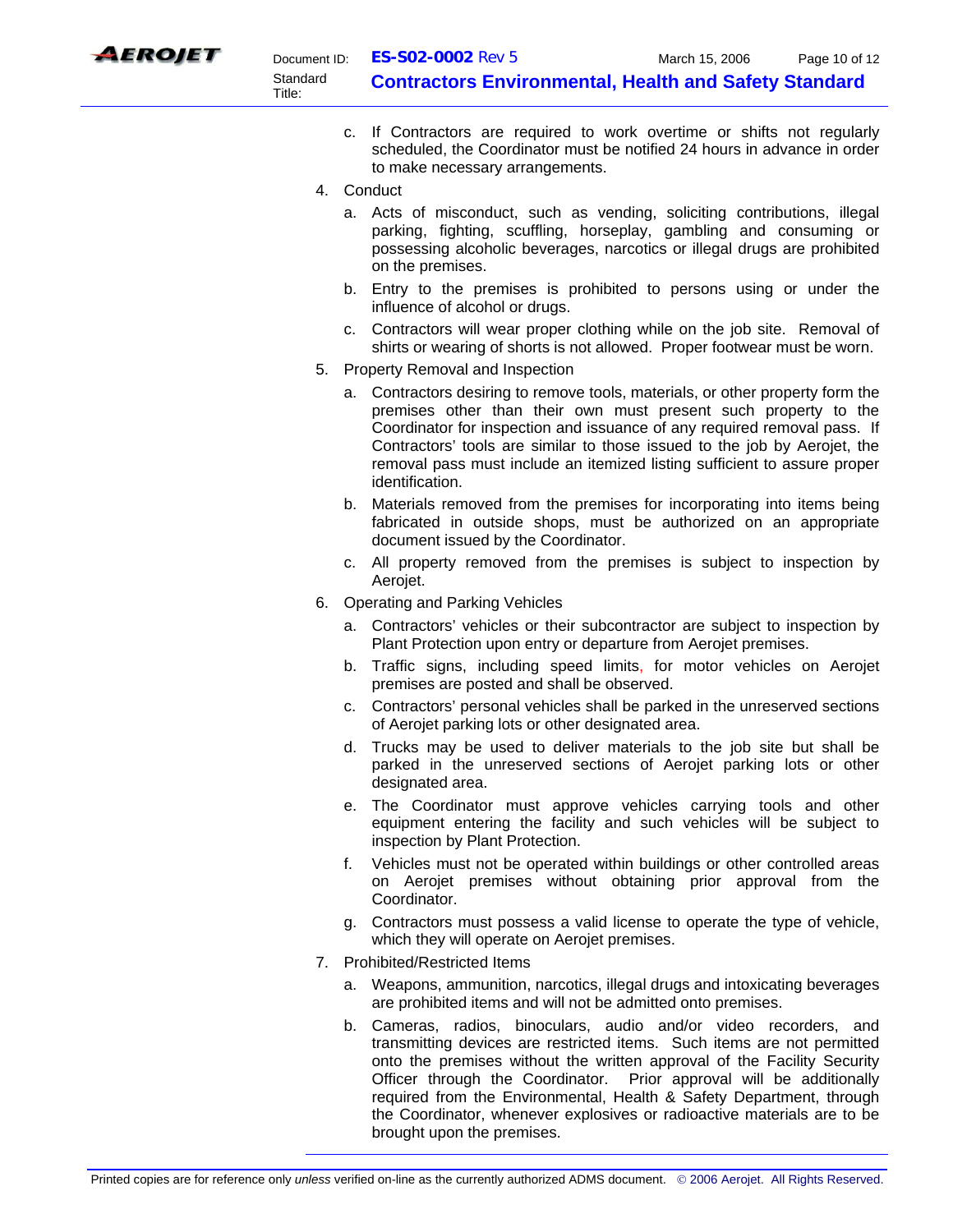

- c. If Contractors are required to work overtime or shifts not regularly scheduled, the Coordinator must be notified 24 hours in advance in order to make necessary arrangements.
- 4. Conduct
	- a. Acts of misconduct, such as vending, soliciting contributions, illegal parking, fighting, scuffling, horseplay, gambling and consuming or possessing alcoholic beverages, narcotics or illegal drugs are prohibited on the premises.
	- b. Entry to the premises is prohibited to persons using or under the influence of alcohol or drugs.
	- c. Contractors will wear proper clothing while on the job site. Removal of shirts or wearing of shorts is not allowed. Proper footwear must be worn.
- 5. Property Removal and Inspection
	- a. Contractors desiring to remove tools, materials, or other property form the premises other than their own must present such property to the Coordinator for inspection and issuance of any required removal pass. If Contractors' tools are similar to those issued to the job by Aerojet, the removal pass must include an itemized listing sufficient to assure proper identification.
	- b. Materials removed from the premises for incorporating into items being fabricated in outside shops, must be authorized on an appropriate document issued by the Coordinator.
	- c. All property removed from the premises is subject to inspection by Aerojet.
- 6. Operating and Parking Vehicles
	- a. Contractors' vehicles or their subcontractor are subject to inspection by Plant Protection upon entry or departure from Aerojet premises.
	- b. Traffic signs, including speed limits, for motor vehicles on Aerojet premises are posted and shall be observed.
	- c. Contractors' personal vehicles shall be parked in the unreserved sections of Aerojet parking lots or other designated area.
	- d. Trucks may be used to deliver materials to the job site but shall be parked in the unreserved sections of Aerojet parking lots or other designated area.
	- e. The Coordinator must approve vehicles carrying tools and other equipment entering the facility and such vehicles will be subject to inspection by Plant Protection.
	- f. Vehicles must not be operated within buildings or other controlled areas on Aerojet premises without obtaining prior approval from the Coordinator.
	- g. Contractors must possess a valid license to operate the type of vehicle, which they will operate on Aerojet premises.
- 7. Prohibited/Restricted Items
	- a. Weapons, ammunition, narcotics, illegal drugs and intoxicating beverages are prohibited items and will not be admitted onto premises.
	- b. Cameras, radios, binoculars, audio and/or video recorders, and transmitting devices are restricted items. Such items are not permitted onto the premises without the written approval of the Facility Security Officer through the Coordinator. Prior approval will be additionally required from the Environmental, Health & Safety Department, through the Coordinator, whenever explosives or radioactive materials are to be brought upon the premises.

Printed copies are for reference only *unless* verified on-line as the currently authorized ADMS document. © 2006 Aerojet. All Rights Reserved.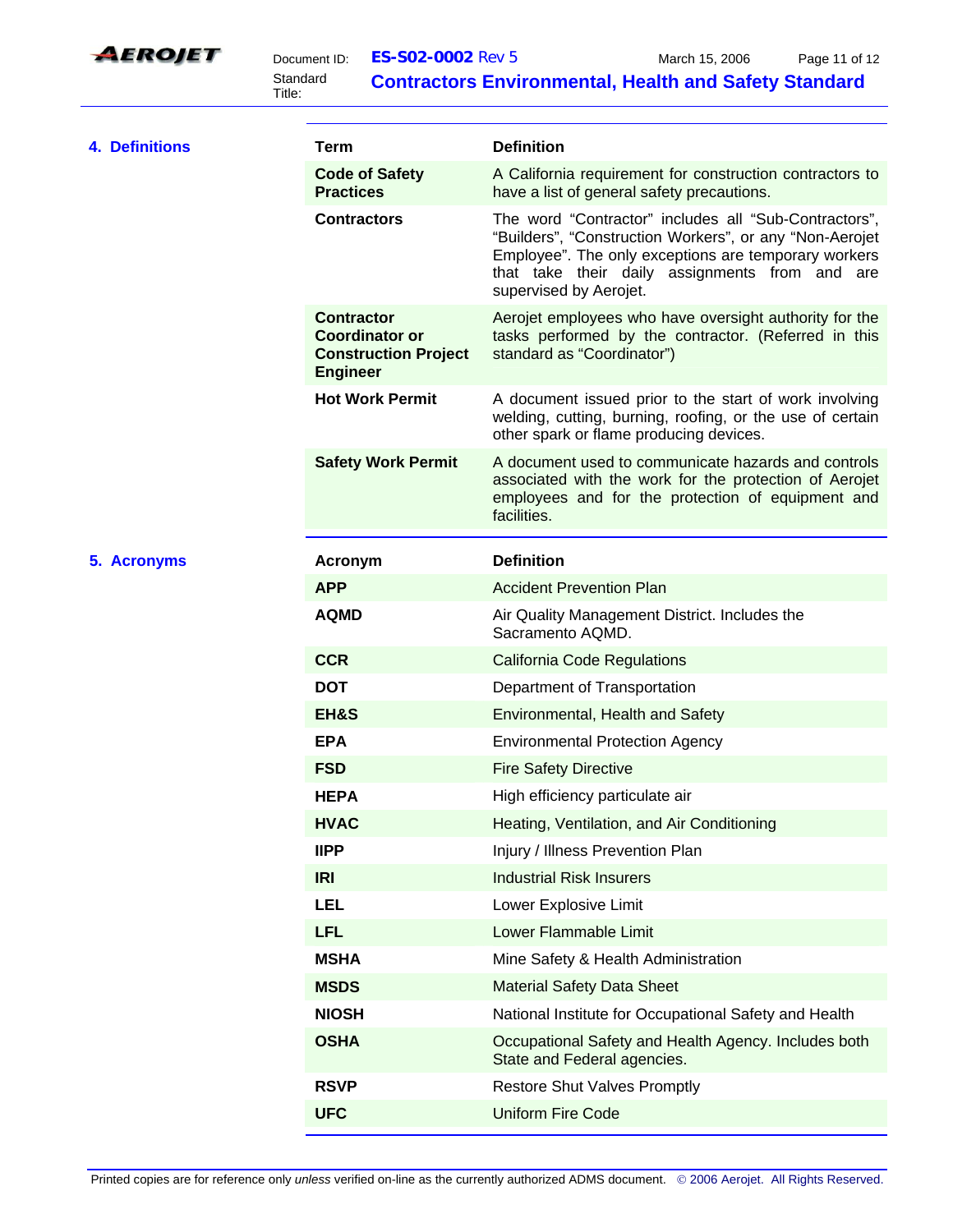

Standard<br>Title:

Document ID: **ES-S02-0002** Rev 5 March 15, 2006 Page 11 of 12 **Contractors Environmental, Health and Safety Standard** 

| <b>4. Definitions</b> | <b>Term</b>                                                                                  | <b>Definition</b>                                                                                                                                                                                                                                    |
|-----------------------|----------------------------------------------------------------------------------------------|------------------------------------------------------------------------------------------------------------------------------------------------------------------------------------------------------------------------------------------------------|
|                       | <b>Code of Safety</b><br><b>Practices</b>                                                    | A California requirement for construction contractors to<br>have a list of general safety precautions.                                                                                                                                               |
|                       | <b>Contractors</b>                                                                           | The word "Contractor" includes all "Sub-Contractors",<br>"Builders", "Construction Workers", or any "Non-Aerojet<br>Employee". The only exceptions are temporary workers<br>that take their daily assignments from and are<br>supervised by Aerojet. |
|                       | <b>Contractor</b><br><b>Coordinator or</b><br><b>Construction Project</b><br><b>Engineer</b> | Aerojet employees who have oversight authority for the<br>tasks performed by the contractor. (Referred in this<br>standard as "Coordinator")                                                                                                         |
|                       | <b>Hot Work Permit</b>                                                                       | A document issued prior to the start of work involving<br>welding, cutting, burning, roofing, or the use of certain<br>other spark or flame producing devices.                                                                                       |
|                       | <b>Safety Work Permit</b>                                                                    | A document used to communicate hazards and controls<br>associated with the work for the protection of Aerojet<br>employees and for the protection of equipment and<br>facilities.                                                                    |
| 5. Acronyms           | Acronym                                                                                      | <b>Definition</b>                                                                                                                                                                                                                                    |
|                       | <b>APP</b>                                                                                   | <b>Accident Prevention Plan</b>                                                                                                                                                                                                                      |
|                       | <b>AQMD</b>                                                                                  | Air Quality Management District. Includes the<br>Sacramento AQMD.                                                                                                                                                                                    |
|                       | <b>CCR</b>                                                                                   | <b>California Code Regulations</b>                                                                                                                                                                                                                   |
|                       | <b>DOT</b>                                                                                   | Department of Transportation                                                                                                                                                                                                                         |
|                       | EH&S                                                                                         | Environmental, Health and Safety                                                                                                                                                                                                                     |
|                       | <b>EPA</b>                                                                                   | <b>Environmental Protection Agency</b>                                                                                                                                                                                                               |
|                       | <b>FSD</b>                                                                                   | <b>Fire Safety Directive</b>                                                                                                                                                                                                                         |
|                       | <b>HEPA</b>                                                                                  | High efficiency particulate air                                                                                                                                                                                                                      |
|                       | <b>HVAC</b>                                                                                  | Heating, Ventilation, and Air Conditioning                                                                                                                                                                                                           |
|                       | <b>IIPP</b>                                                                                  | Injury / Illness Prevention Plan                                                                                                                                                                                                                     |
|                       | <b>IRI</b>                                                                                   | <b>Industrial Risk Insurers</b>                                                                                                                                                                                                                      |
|                       | <b>LEL</b>                                                                                   | Lower Explosive Limit                                                                                                                                                                                                                                |
|                       | <b>LFL</b>                                                                                   | Lower Flammable Limit                                                                                                                                                                                                                                |
|                       | <b>MSHA</b>                                                                                  | Mine Safety & Health Administration                                                                                                                                                                                                                  |
|                       | <b>MSDS</b>                                                                                  | <b>Material Safety Data Sheet</b>                                                                                                                                                                                                                    |
|                       | <b>NIOSH</b>                                                                                 | National Institute for Occupational Safety and Health                                                                                                                                                                                                |
|                       | <b>OSHA</b>                                                                                  | Occupational Safety and Health Agency. Includes both<br>State and Federal agencies.                                                                                                                                                                  |
|                       | <b>RSVP</b>                                                                                  | <b>Restore Shut Valves Promptly</b>                                                                                                                                                                                                                  |
|                       | <b>UFC</b>                                                                                   | <b>Uniform Fire Code</b>                                                                                                                                                                                                                             |
|                       |                                                                                              |                                                                                                                                                                                                                                                      |

Printed copies are for reference only *unless* verified on-line as the currently authorized ADMS document. © 2006 Aerojet. All Rights Reserved.